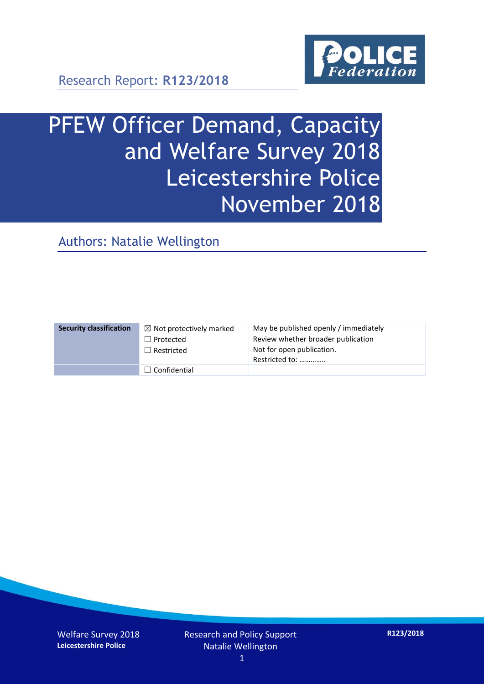

Research Report: **R123/2018**

# PFEW Officer Demand, Capacity and Welfare Survey 2018 Leicestershire Police November 2018

Authors: Natalie Wellington

| <b>Security classification</b> | $\boxtimes$ Not protectively marked | May be published openly / immediately       |
|--------------------------------|-------------------------------------|---------------------------------------------|
|                                | $\Box$ Protected                    | Review whether broader publication          |
|                                | $\Box$ Restricted                   | Not for open publication.<br>Restricted to: |
|                                | $\Box$ Confidential                 |                                             |

Welfare Survey 2018 **Leicestershire Police**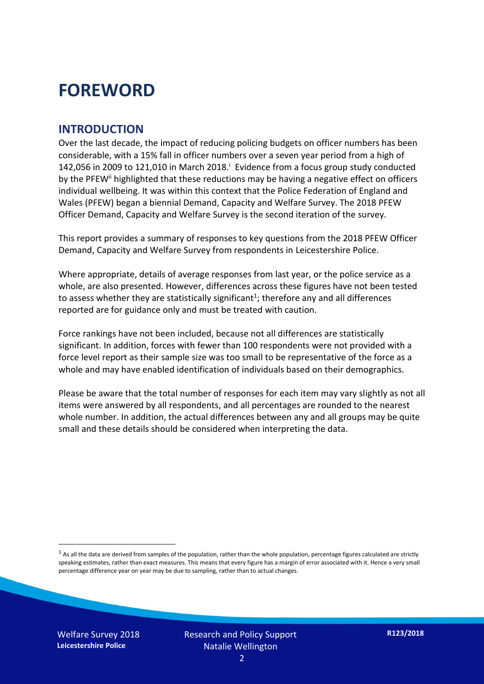### **FOREWORD**

#### **INTRODUCTION**

Over the last decade, the impact of reducing policing budgets on officer numbers has been considerable, with a 15% fall in officer numbers over a seven year period from a high of 142,056 in 2009 to 121,010 in March 2018. $^{\mathrm{i}}$  Evidence from a focus group study conducted by the PFEW<sup>ii</sup> highlighted that these reductions may be having a negative effect on officers individual wellbeing. It was within this context that the Police Federation of England and Wales (PFEW) began a biennial Demand, Capacity and Welfare Survey. The 2018 PFEW Officer Demand, Capacity and Welfare Survey is the second iteration of the survey.

This report provides a summary of responses to key questions from the 2018 PFEW Officer Demand, Capacity and Welfare Survey from respondents in Leicestershire Police.

Where appropriate, details of average responses from last year, or the police service as a whole, are also presented. However, differences across these figures have not been tested to assess whether they are statistically significant<sup>1</sup>; therefore any and all differences reported are for guidance only and must be treated with caution.

Force rankings have not been included, because not all differences are statistically significant. In addition, forces with fewer than 100 respondents were not provided with a force level report as their sample size was too small to be representative of the force as a whole and may have enabled identification of individuals based on their demographics.

Please be aware that the total number of responses for each item may vary slightly as not all items were answered by all respondents, and all percentages are rounded to the nearest whole number. In addition, the actual differences between any and all groups may be quite small and these details should be considered when interpreting the data.

Welfare Survey 2018 **Leicestershire Police**

<u>.</u>

 $<sup>1</sup>$  As all the data are derived from samples of the population, rather than the whole population, percentage figures calculated are strictly</sup> speaking estimates, rather than exact measures. This means that every figure has a margin of error associated with it. Hence a very small percentage difference year on year may be due to sampling, rather than to actual changes.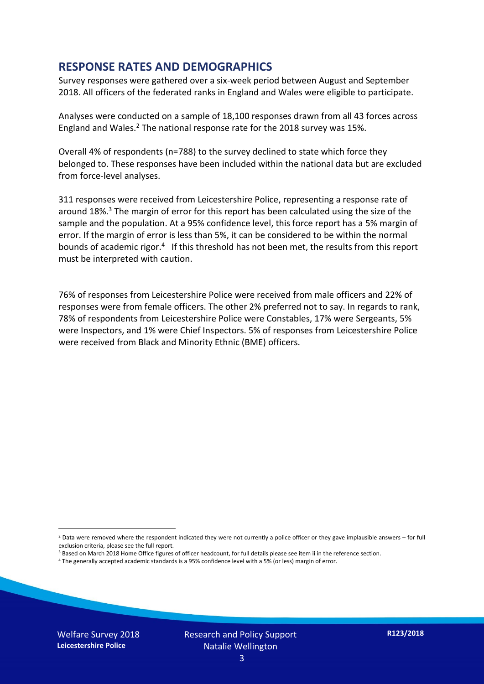#### **RESPONSE RATES AND DEMOGRAPHICS**

Survey responses were gathered over a six-week period between August and September 2018. All officers of the federated ranks in England and Wales were eligible to participate.

Analyses were conducted on a sample of 18,100 responses drawn from all 43 forces across England and Wales.<sup>2</sup> The national response rate for the 2018 survey was 15%.

Overall 4% of respondents (n=788) to the survey declined to state which force they belonged to. These responses have been included within the national data but are excluded from force-level analyses.

311 responses were received from Leicestershire Police, representing a response rate of around 18%. <sup>3</sup> The margin of error for this report has been calculated using the size of the sample and the population. At a 95% confidence level, this force report has a 5% margin of error. If the margin of error is less than 5%, it can be considered to be within the normal bounds of academic rigor.<sup>4</sup> If this threshold has not been met, the results from this report must be interpreted with caution.

76% of responses from Leicestershire Police were received from male officers and 22% of responses were from female officers. The other 2% preferred not to say. In regards to rank, 78% of respondents from Leicestershire Police were Constables, 17% were Sergeants, 5% were Inspectors, and 1% were Chief Inspectors. 5% of responses from Leicestershire Police were received from Black and Minority Ethnic (BME) officers.

- <sup>3</sup> Based on March 2018 Home Office figures of officer headcount, for full details please see item ii in the reference section.
- <sup>4</sup> The generally accepted academic standards is a 95% confidence level with a 5% (or less) margin of error.

Welfare Survey 2018 **Leicestershire Police**

<u>.</u>

 $2$  Data were removed where the respondent indicated they were not currently a police officer or they gave implausible answers – for full exclusion criteria, please see the full report.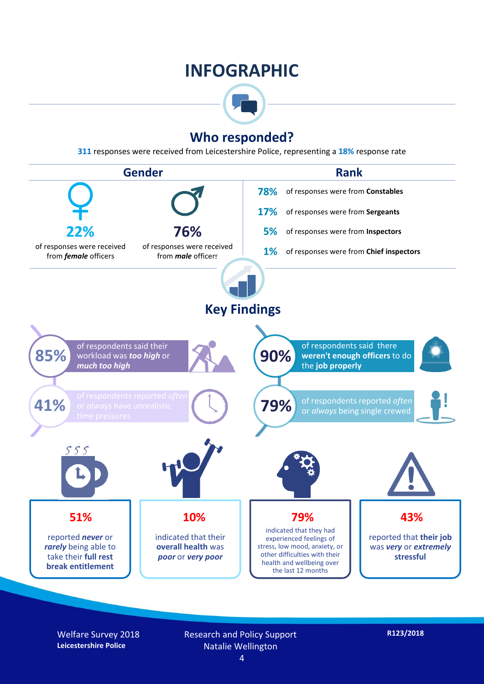### **INFOGRAPHIC**



#### **Who responded?**

**311** responses were received from Leicestershire Police, representing a **18%** response rate



Welfare Survey 2018 **Leicestershire Police**

Research and Policy Support Natalie Wellington 4

**R123/2018**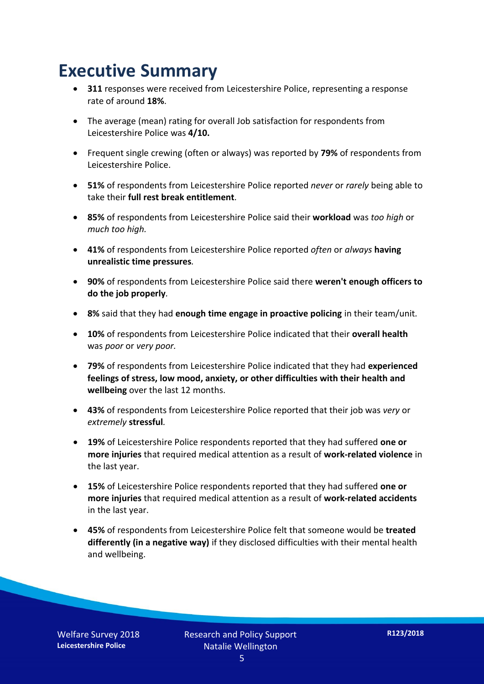### **Executive Summary**

- **311** responses were received from Leicestershire Police, representing a response rate of around **18%**.
- The average (mean) rating for overall Job satisfaction for respondents from Leicestershire Police was **4/10.**
- Frequent single crewing (often or always) was reported by **79%** of respondents from Leicestershire Police.
- **51%** of respondents from Leicestershire Police reported *never* or *rarely* being able to take their **full rest break entitlement***.*
- **85%** of respondents from Leicestershire Police said their **workload** was *too high* or *much too high.*
- **41%** of respondents from Leicestershire Police reported *often* or *always* **having unrealistic time pressures***.*
- **90%** of respondents from Leicestershire Police said there **weren't enough officers to do the job properly***.*
- **8%** said that they had **enough time engage in proactive policing** in their team/unit*.*
- **10%** of respondents from Leicestershire Police indicated that their **overall health** was *poor* or *very poor.*
- **79%** of respondents from Leicestershire Police indicated that they had **experienced feelings of stress, low mood, anxiety, or other difficulties with their health and wellbeing** over the last 12 months.
- **43%** of respondents from Leicestershire Police reported that their job was *very* or *extremely* **stressful***.*
- **19%** of Leicestershire Police respondents reported that they had suffered **one or more injuries** that required medical attention as a result of **work-related violence** in the last year.
- **15%** of Leicestershire Police respondents reported that they had suffered **one or more injuries** that required medical attention as a result of **work-related accidents**  in the last year.
- **45%** of respondents from Leicestershire Police felt that someone would be **treated differently (in a negative way)** if they disclosed difficulties with their mental health and wellbeing.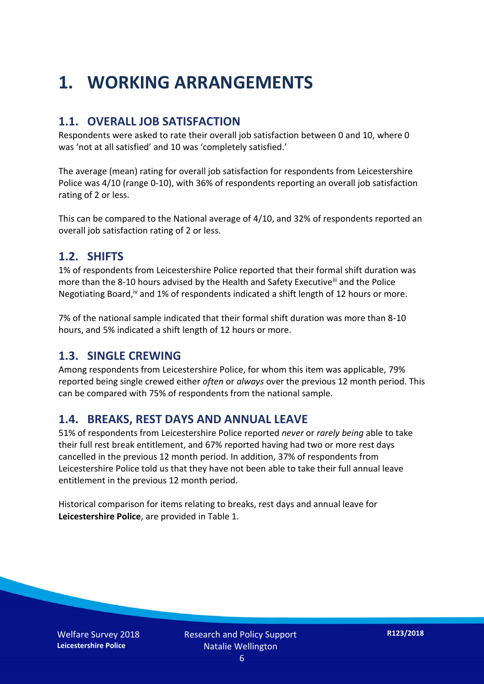## **1. WORKING ARRANGEMENTS**

#### **1.1. OVERALL JOB SATISFACTION**

Respondents were asked to rate their overall job satisfaction between 0 and 10, where 0 was 'not at all satisfied' and 10 was 'completely satisfied.'

The average (mean) rating for overall job satisfaction for respondents from Leicestershire Police was 4/10 (range 0-10), with 36% of respondents reporting an overall job satisfaction rating of 2 or less.

This can be compared to the National average of 4/10, and 32% of respondents reported an overall job satisfaction rating of 2 or less.

#### **1.2. SHIFTS**

1% of respondents from Leicestershire Police reported that their formal shift duration was more than the 8-10 hours advised by the Health and Safety Executive<sup>iii</sup> and the Police Negotiating Board,<sup>iv</sup> and 1% of respondents indicated a shift length of 12 hours or more.

7% of the national sample indicated that their formal shift duration was more than 8-10 hours, and 5% indicated a shift length of 12 hours or more.

#### **1.3. SINGLE CREWING**

Among respondents from Leicestershire Police, for whom this item was applicable, 79% reported being single crewed either *often* or *always* over the previous 12 month period. This can be compared with 75% of respondents from the national sample.

#### **1.4. BREAKS, REST DAYS AND ANNUAL LEAVE**

51% of respondents from Leicestershire Police reported *never* or *rarely being* able to take their full rest break entitlement, and 67% reported having had two or more rest days cancelled in the previous 12 month period. In addition, 37% of respondents from Leicestershire Police told us that they have not been able to take their full annual leave entitlement in the previous 12 month period.

Historical comparison for items relating to breaks, rest days and annual leave for **Leicestershire Police**, are provided in Table 1.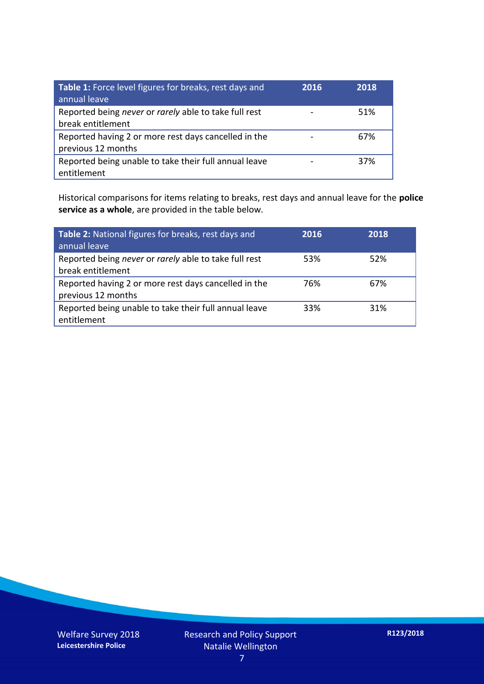| Table 1: Force level figures for breaks, rest days and<br>annual leave     | 2016 | 2018 |
|----------------------------------------------------------------------------|------|------|
| Reported being never or rarely able to take full rest<br>break entitlement |      | 51%  |
| Reported having 2 or more rest days cancelled in the<br>previous 12 months |      | 67%  |
| Reported being unable to take their full annual leave<br>entitlement       |      | 37%  |

Historical comparisons for items relating to breaks, rest days and annual leave for the **police service as a whole**, are provided in the table below.

| Table 2: National figures for breaks, rest days and<br>annual leave        | 2016 | 2018 |
|----------------------------------------------------------------------------|------|------|
| Reported being never or rarely able to take full rest<br>break entitlement | 53%  | 52%  |
| Reported having 2 or more rest days cancelled in the<br>previous 12 months | 76%  | 67%  |
| Reported being unable to take their full annual leave<br>entitlement       | 33%  | 31%  |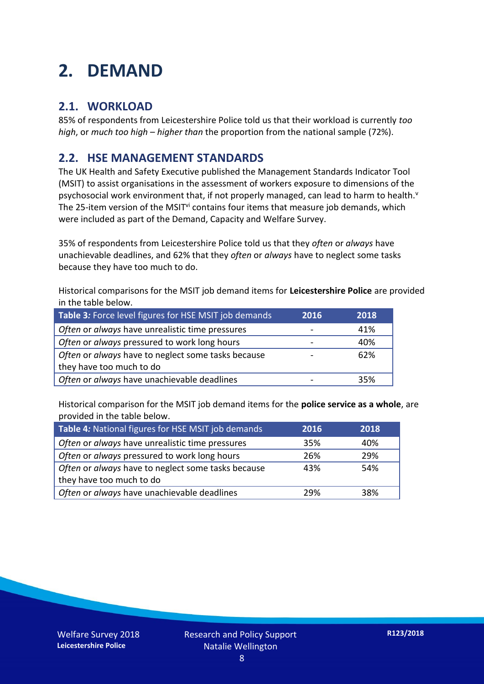## **2. DEMAND**

#### **2.1. WORKLOAD**

85% of respondents from Leicestershire Police told us that their workload is currently *too high*, or *much too high* – *higher than* the proportion from the national sample (72%).

#### **2.2. HSE MANAGEMENT STANDARDS**

The UK Health and Safety Executive published the Management Standards Indicator Tool (MSIT) to assist organisations in the assessment of workers exposure to dimensions of the psychosocial work environment that, if not properly managed, can lead to harm to health.<sup>v</sup> The 25-item version of the MSIT<sup>vi</sup> contains four items that measure job demands, which were included as part of the Demand, Capacity and Welfare Survey.

35% of respondents from Leicestershire Police told us that they *often* or *always* have unachievable deadlines, and 62% that they *often* or *always* have to neglect some tasks because they have too much to do.

Historical comparisons for the MSIT job demand items for **Leicestershire Police** are provided in the table below.

| Table 3: Force level figures for HSE MSIT job demands | 2016 | 2018 |
|-------------------------------------------------------|------|------|
| Often or always have unrealistic time pressures       |      | 41%  |
| Often or always pressured to work long hours          |      | 40%  |
| Often or always have to neglect some tasks because    |      | 62%  |
| they have too much to do                              |      |      |
| Often or always have unachievable deadlines           |      | 35%  |

Historical comparison for the MSIT job demand items for the **police service as a whole**, are provided in the table below.

| Table 4: National figures for HSE MSIT job demands | 2016 | 2018 |
|----------------------------------------------------|------|------|
| Often or always have unrealistic time pressures    | 35%  | 40%  |
| Often or always pressured to work long hours       | 26%  | 29%  |
| Often or always have to neglect some tasks because | 43%  | 54%  |
| they have too much to do                           |      |      |
| Often or always have unachievable deadlines        | 29%  | 38%  |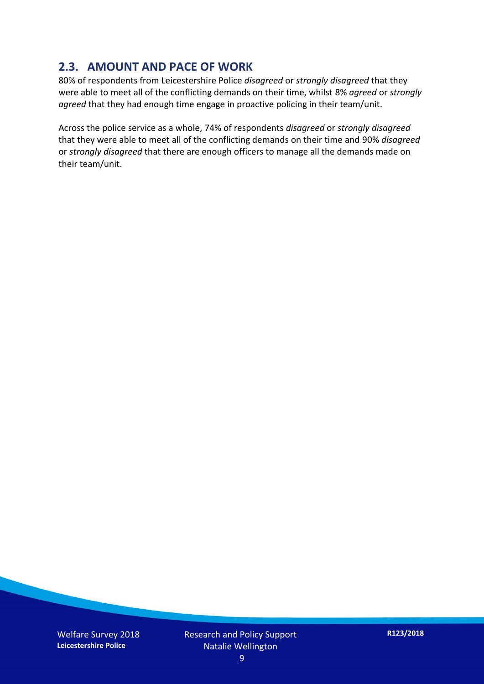#### **2.3. AMOUNT AND PACE OF WORK**

80% of respondents from Leicestershire Police *disagreed* or *strongly disagreed* that they were able to meet all of the conflicting demands on their time, whilst 8% *agreed* or *strongly agreed* that they had enough time engage in proactive policing in their team/unit.

Across the police service as a whole, 74% of respondents *disagreed* or *strongly disagreed* that they were able to meet all of the conflicting demands on their time and 90% *disagreed* or *strongly disagreed* that there are enough officers to manage all the demands made on their team/unit.

Welfare Survey 2018 **Leicestershire Police**

Research and Policy Support Natalie Wellington

**R123/2018**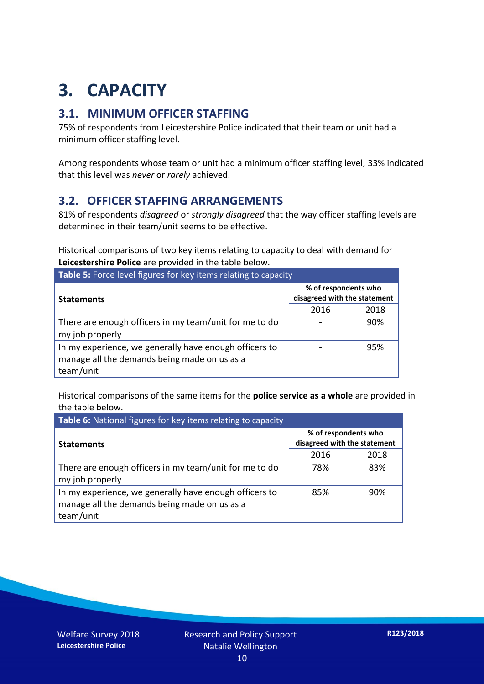## **3. CAPACITY**

#### **3.1. MINIMUM OFFICER STAFFING**

75% of respondents from Leicestershire Police indicated that their team or unit had a minimum officer staffing level.

Among respondents whose team or unit had a minimum officer staffing level, 33% indicated that this level was *never* or *rarely* achieved.

#### **3.2. OFFICER STAFFING ARRANGEMENTS**

81% of respondents *disagreed* or *strongly disagreed* that the way officer staffing levels are determined in their team/unit seems to be effective.

Historical comparisons of two key items relating to capacity to deal with demand for **Leicestershire Police** are provided in the table below.

| Table 5: Force level figures for key items relating to capacity                                                     |                                                      |      |  |  |
|---------------------------------------------------------------------------------------------------------------------|------------------------------------------------------|------|--|--|
| <b>Statements</b>                                                                                                   | % of respondents who<br>disagreed with the statement |      |  |  |
|                                                                                                                     | 2016                                                 | 2018 |  |  |
| There are enough officers in my team/unit for me to do<br>my job properly                                           |                                                      | 90%  |  |  |
| In my experience, we generally have enough officers to<br>manage all the demands being made on us as a<br>team/unit |                                                      | 95%  |  |  |

Historical comparisons of the same items for the **police service as a whole** are provided in the table below.

| Table 6: National figures for key items relating to capacity                                                        |                                                      |      |  |  |
|---------------------------------------------------------------------------------------------------------------------|------------------------------------------------------|------|--|--|
| <b>Statements</b>                                                                                                   | % of respondents who<br>disagreed with the statement |      |  |  |
|                                                                                                                     | 2016                                                 | 2018 |  |  |
| There are enough officers in my team/unit for me to do<br>my job properly                                           | 78%                                                  | 83%  |  |  |
| In my experience, we generally have enough officers to<br>manage all the demands being made on us as a<br>team/unit | 85%                                                  | 90%  |  |  |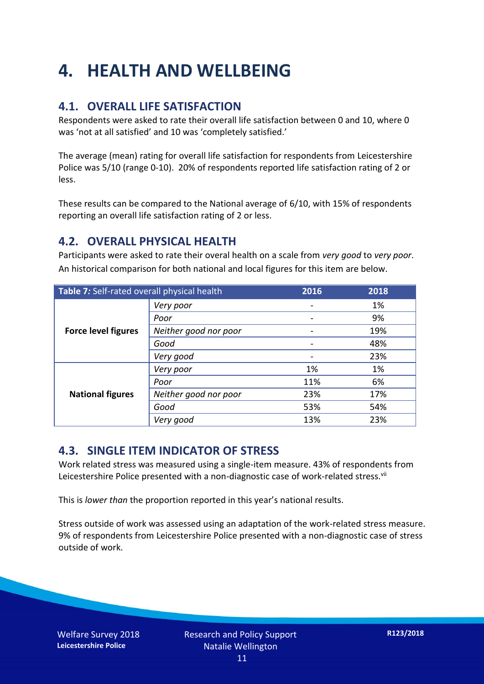## **4. HEALTH AND WELLBEING**

#### **4.1. OVERALL LIFE SATISFACTION**

Respondents were asked to rate their overall life satisfaction between 0 and 10, where 0 was 'not at all satisfied' and 10 was 'completely satisfied.'

The average (mean) rating for overall life satisfaction for respondents from Leicestershire Police was 5/10 (range 0-10). 20% of respondents reported life satisfaction rating of 2 or less.

These results can be compared to the National average of 6/10, with 15% of respondents reporting an overall life satisfaction rating of 2 or less.

#### **4.2. OVERALL PHYSICAL HEALTH**

Participants were asked to rate their overal health on a scale from *very good* to *very poor*. An historical comparison for both national and local figures for this item are below.

| Table 7: Self-rated overall physical health |                       | 2016 | 2018 |
|---------------------------------------------|-----------------------|------|------|
|                                             | Very poor             |      | 1%   |
|                                             | Poor                  |      | 9%   |
| <b>Force level figures</b>                  | Neither good nor poor |      | 19%  |
|                                             | Good                  |      | 48%  |
|                                             | Very good             |      | 23%  |
| <b>National figures</b>                     | Very poor             | 1%   | 1%   |
|                                             | Poor                  | 11%  | 6%   |
|                                             | Neither good nor poor | 23%  | 17%  |
|                                             | Good                  | 53%  | 54%  |
|                                             | Very good             | 13%  | 23%  |

#### **4.3. SINGLE ITEM INDICATOR OF STRESS**

Work related stress was measured using a single-item measure. 43% of respondents from Leicestershire Police presented with a non-diagnostic case of work-related stress.<sup>vii</sup>

This is *lower than* the proportion reported in this year's national results.

Stress outside of work was assessed using an adaptation of the work-related stress measure. 9% of respondents from Leicestershire Police presented with a non-diagnostic case of stress outside of work.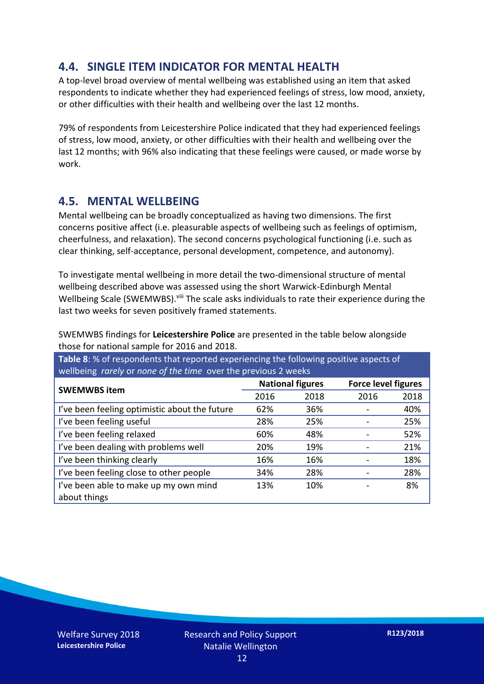#### **4.4. SINGLE ITEM INDICATOR FOR MENTAL HEALTH**

A top-level broad overview of mental wellbeing was established using an item that asked respondents to indicate whether they had experienced feelings of stress, low mood, anxiety, or other difficulties with their health and wellbeing over the last 12 months.

79% of respondents from Leicestershire Police indicated that they had experienced feelings of stress, low mood, anxiety, or other difficulties with their health and wellbeing over the last 12 months; with 96% also indicating that these feelings were caused, or made worse by work.

#### **4.5. MENTAL WELLBEING**

Mental wellbeing can be broadly conceptualized as having two dimensions. The first concerns positive affect (i.e. pleasurable aspects of wellbeing such as feelings of optimism, cheerfulness, and relaxation). The second concerns psychological functioning (i.e. such as clear thinking, self-acceptance, personal development, competence, and autonomy).

To investigate mental wellbeing in more detail the two-dimensional structure of mental wellbeing described above was assessed using the short Warwick-Edinburgh Mental Wellbeing Scale (SWEMWBS). viii The scale asks individuals to rate their experience during the last two weeks for seven positively framed statements.

SWEMWBS findings for **Leicestershire Police** are presented in the table below alongside those for national sample for 2016 and 2018.

**Table 8**: % of respondents that reported experiencing the following positive aspects of wellbeing *rarely* or *none of the time* over the previous 2 weeks

| <b>SWEMWBS item</b>                           | <b>National figures</b> |      | <b>Force level figures</b> |      |
|-----------------------------------------------|-------------------------|------|----------------------------|------|
|                                               | 2016                    | 2018 | 2016                       | 2018 |
| I've been feeling optimistic about the future | 62%                     | 36%  |                            | 40%  |
| I've been feeling useful                      | 28%                     | 25%  |                            | 25%  |
| I've been feeling relaxed                     | 60%                     | 48%  |                            | 52%  |
| I've been dealing with problems well          | 20%                     | 19%  |                            | 21%  |
| I've been thinking clearly                    | 16%                     | 16%  |                            | 18%  |
| I've been feeling close to other people       | 34%                     | 28%  |                            | 28%  |
| I've been able to make up my own mind         | 13%                     | 10%  |                            | 8%   |
| about things                                  |                         |      |                            |      |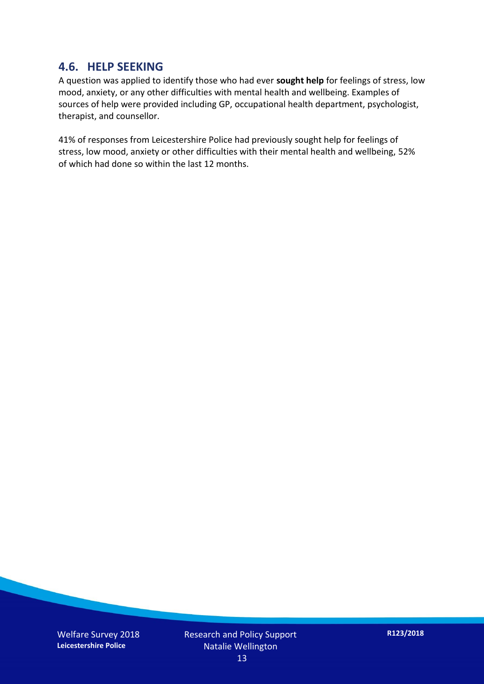#### **4.6. HELP SEEKING**

A question was applied to identify those who had ever **sought help** for feelings of stress, low mood, anxiety, or any other difficulties with mental health and wellbeing. Examples of sources of help were provided including GP, occupational health department, psychologist, therapist, and counsellor.

41% of responses from Leicestershire Police had previously sought help for feelings of stress, low mood, anxiety or other difficulties with their mental health and wellbeing, 52% of which had done so within the last 12 months.

Welfare Survey 2018 **Leicestershire Police**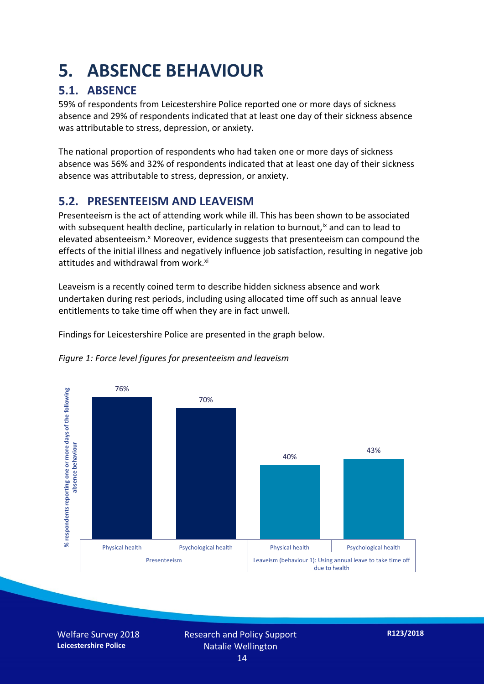### **5. ABSENCE BEHAVIOUR**

#### **5.1. ABSENCE**

59% of respondents from Leicestershire Police reported one or more days of sickness absence and 29% of respondents indicated that at least one day of their sickness absence was attributable to stress, depression, or anxiety.

The national proportion of respondents who had taken one or more days of sickness absence was 56% and 32% of respondents indicated that at least one day of their sickness absence was attributable to stress, depression, or anxiety.

#### **5.2. PRESENTEEISM AND LEAVEISM**

Presenteeism is the act of attending work while ill. This has been shown to be associated with subsequent health decline, particularly in relation to burnout,  $\alpha$  and can to lead to elevated absenteeism.<sup>x</sup> Moreover, evidence suggests that presenteeism can compound the effects of the initial illness and negatively influence job satisfaction, resulting in negative job attitudes and withdrawal from work.<sup>xi</sup>

Leaveism is a recently coined term to describe hidden sickness absence and work undertaken during rest periods, including using allocated time off such as annual leave entitlements to take time off when they are in fact unwell.

Findings for Leicestershire Police are presented in the graph below.



*Figure 1: Force level figures for presenteeism and leaveism*

Welfare Survey 2018 **Leicestershire Police**

Research and Policy Support Natalie Wellington 14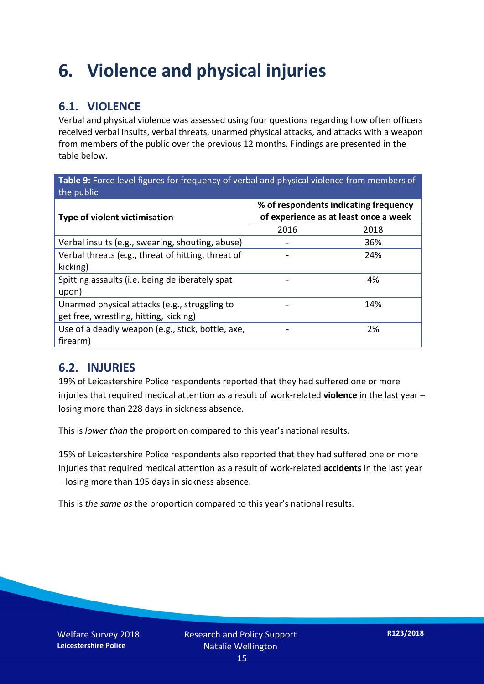### **6. Violence and physical injuries**

#### **6.1. VIOLENCE**

Verbal and physical violence was assessed using four questions regarding how often officers received verbal insults, verbal threats, unarmed physical attacks, and attacks with a weapon from members of the public over the previous 12 months. Findings are presented in the table below.

**Table 9:** Force level figures for frequency of verbal and physical violence from members of the public

| <b>Type of violent victimisation</b>                                                    | % of respondents indicating frequency<br>of experience as at least once a week |      |  |
|-----------------------------------------------------------------------------------------|--------------------------------------------------------------------------------|------|--|
|                                                                                         | 2016                                                                           | 2018 |  |
| Verbal insults (e.g., swearing, shouting, abuse)                                        |                                                                                | 36%  |  |
| Verbal threats (e.g., threat of hitting, threat of<br>kicking)                          |                                                                                | 24%  |  |
| Spitting assaults (i.e. being deliberately spat<br>upon)                                |                                                                                | 4%   |  |
| Unarmed physical attacks (e.g., struggling to<br>get free, wrestling, hitting, kicking) |                                                                                | 14%  |  |
| Use of a deadly weapon (e.g., stick, bottle, axe,<br>firearm)                           |                                                                                | 2%   |  |

#### **6.2. INJURIES**

19% of Leicestershire Police respondents reported that they had suffered one or more injuries that required medical attention as a result of work-related **violence** in the last year – losing more than 228 days in sickness absence.

This is *lower than* the proportion compared to this year's national results.

15% of Leicestershire Police respondents also reported that they had suffered one or more injuries that required medical attention as a result of work-related **accidents** in the last year – losing more than 195 days in sickness absence.

This is *the same as* the proportion compared to this year's national results.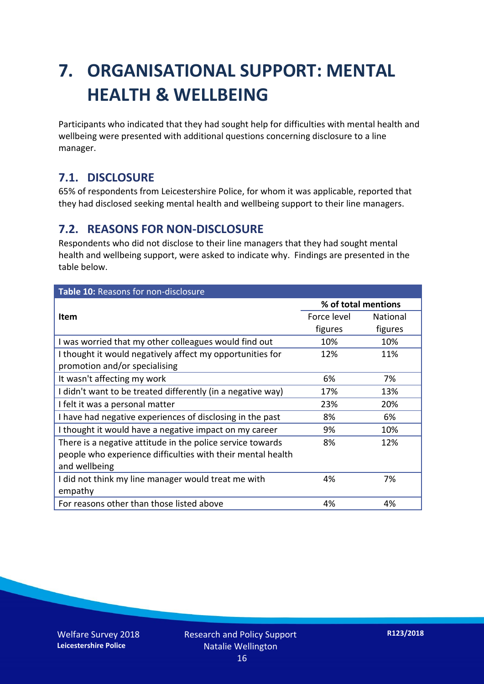## **7. ORGANISATIONAL SUPPORT: MENTAL HEALTH & WELLBEING**

Participants who indicated that they had sought help for difficulties with mental health and wellbeing were presented with additional questions concerning disclosure to a line manager.

#### **7.1. DISCLOSURE**

65% of respondents from Leicestershire Police, for whom it was applicable, reported that they had disclosed seeking mental health and wellbeing support to their line managers.

#### **7.2. REASONS FOR NON-DISCLOSURE**

Respondents who did not disclose to their line managers that they had sought mental health and wellbeing support, were asked to indicate why. Findings are presented in the table below.

| Table 10: Reasons for non-disclosure                        |                     |          |  |
|-------------------------------------------------------------|---------------------|----------|--|
|                                                             | % of total mentions |          |  |
| <b>Item</b>                                                 | Force level         | National |  |
|                                                             | figures             | figures  |  |
| I was worried that my other colleagues would find out       | 10%                 | 10%      |  |
| I thought it would negatively affect my opportunities for   | 12%                 | 11%      |  |
| promotion and/or specialising                               |                     |          |  |
| It wasn't affecting my work                                 | 6%                  | 7%       |  |
| I didn't want to be treated differently (in a negative way) | 17%                 | 13%      |  |
| I felt it was a personal matter                             | 23%                 | 20%      |  |
| I have had negative experiences of disclosing in the past   | 8%                  | 6%       |  |
| I thought it would have a negative impact on my career      | 9%                  | 10%      |  |
| There is a negative attitude in the police service towards  | 8%                  | 12%      |  |
| people who experience difficulties with their mental health |                     |          |  |
| and wellbeing                                               |                     |          |  |
| I did not think my line manager would treat me with         | 4%                  | 7%       |  |
| empathy                                                     |                     |          |  |
| For reasons other than those listed above                   | 4%                  | 4%       |  |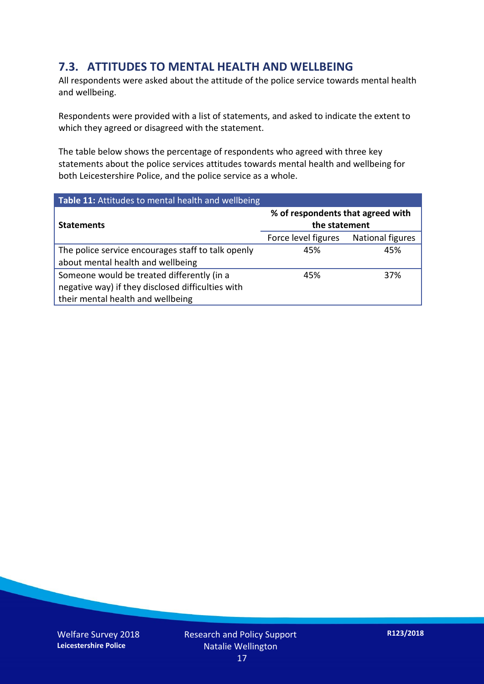#### **7.3. ATTITUDES TO MENTAL HEALTH AND WELLBEING**

All respondents were asked about the attitude of the police service towards mental health and wellbeing.

Respondents were provided with a list of statements, and asked to indicate the extent to which they agreed or disagreed with the statement.

The table below shows the percentage of respondents who agreed with three key statements about the police services attitudes towards mental health and wellbeing for both Leicestershire Police, and the police service as a whole.

| Table 11: Attitudes to mental health and wellbeing |                                                    |                         |  |
|----------------------------------------------------|----------------------------------------------------|-------------------------|--|
| <b>Statements</b>                                  | % of respondents that agreed with<br>the statement |                         |  |
|                                                    | Force level figures                                | <b>National figures</b> |  |
| The police service encourages staff to talk openly | 45%                                                | 45%                     |  |
| about mental health and wellbeing                  |                                                    |                         |  |
| Someone would be treated differently (in a         | 45%                                                | 37%                     |  |
| negative way) if they disclosed difficulties with  |                                                    |                         |  |
| their mental health and wellbeing                  |                                                    |                         |  |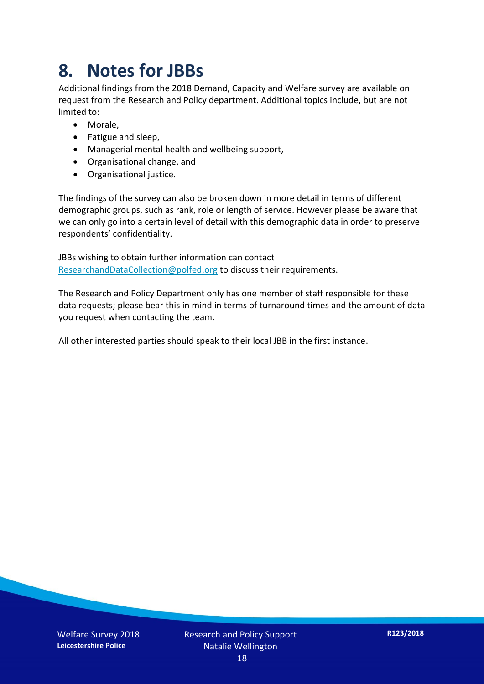### **8. Notes for JBBs**

Additional findings from the 2018 Demand, Capacity and Welfare survey are available on request from the Research and Policy department. Additional topics include, but are not limited to:

- Morale,
- Fatigue and sleep,
- Managerial mental health and wellbeing support,
- Organisational change, and
- Organisational justice.

The findings of the survey can also be broken down in more detail in terms of different demographic groups, such as rank, role or length of service. However please be aware that we can only go into a certain level of detail with this demographic data in order to preserve respondents' confidentiality.

JBBs wishing to obtain further information can contact [ResearchandDataCollection@polfed.org](mailto:ResearchandDataCollection@polfed.org) to discuss their requirements.

The Research and Policy Department only has one member of staff responsible for these data requests; please bear this in mind in terms of turnaround times and the amount of data you request when contacting the team.

All other interested parties should speak to their local JBB in the first instance.